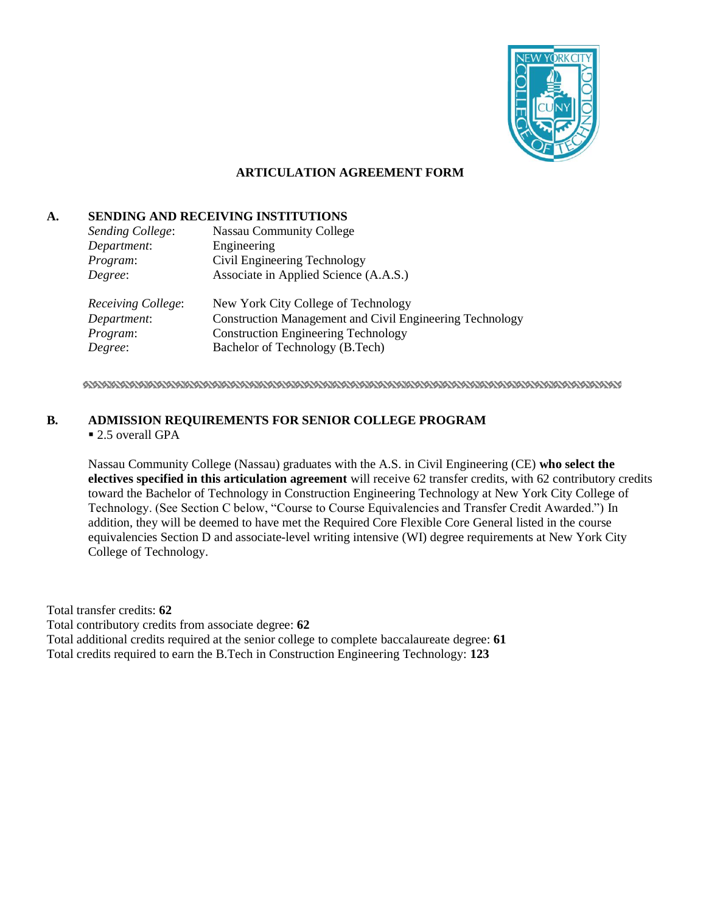

## **ARTICULATION AGREEMENT FORM**

### **A. SENDING AND RECEIVING INSTITUTIONS**

| Sending College:   | <b>Nassau Community College</b>                                 |
|--------------------|-----------------------------------------------------------------|
| Department:        | Engineering                                                     |
| Program:           | Civil Engineering Technology                                    |
| Degree:            | Associate in Applied Science (A.A.S.)                           |
| Receiving College: | New York City College of Technology                             |
| Department:        | <b>Construction Management and Civil Engineering Technology</b> |
| Program:           | <b>Construction Engineering Technology</b>                      |
| Degree:            | Bachelor of Technology (B.Tech)                                 |

## **B. ADMISSION REQUIREMENTS FOR SENIOR COLLEGE PROGRAM**

#### ■ 2.5 overall GPA

Nassau Community College (Nassau) graduates with the A.S. in Civil Engineering (CE) **who select the electives specified in this articulation agreement** will receive 62 transfer credits, with 62 contributory credits toward the Bachelor of Technology in Construction Engineering Technology at New York City College of Technology. (See Section C below, "Course to Course Equivalencies and Transfer Credit Awarded.") In addition, they will be deemed to have met the Required Core Flexible Core General listed in the course equivalencies Section D and associate-level writing intensive (WI) degree requirements at New York City College of Technology.

Total transfer credits: **62** Total contributory credits from associate degree: **62** Total additional credits required at the senior college to complete baccalaureate degree: **61** Total credits required to earn the B.Tech in Construction Engineering Technology: **123**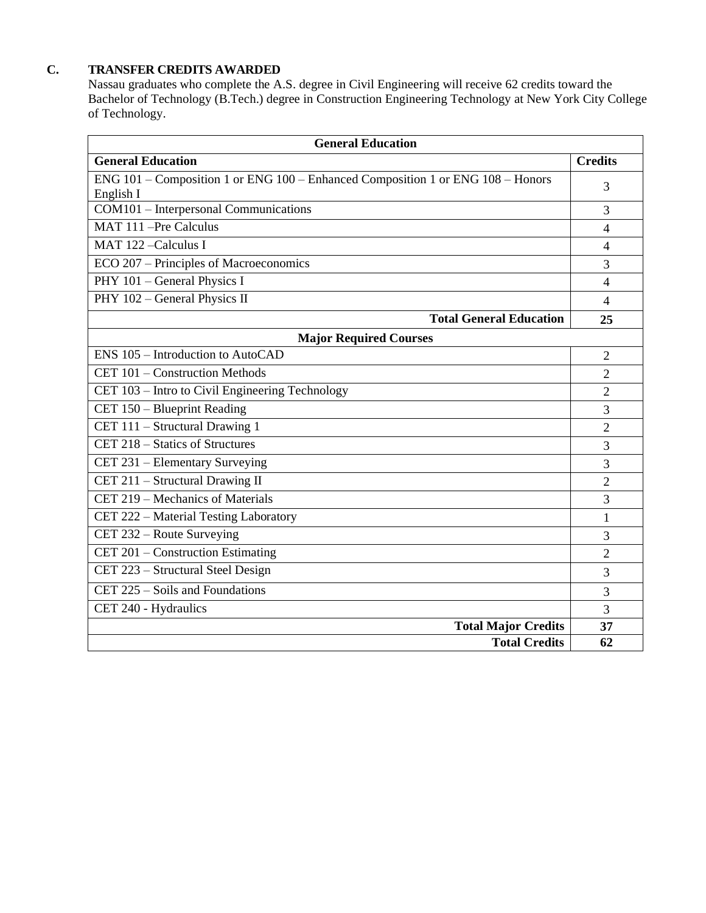## **C. TRANSFER CREDITS AWARDED**

Nassau graduates who complete the A.S. degree in Civil Engineering will receive 62 credits toward the Bachelor of Technology (B.Tech.) degree in Construction Engineering Technology at New York City College of Technology.

| <b>General Education</b>                                                                     |                |  |  |  |
|----------------------------------------------------------------------------------------------|----------------|--|--|--|
| <b>General Education</b>                                                                     |                |  |  |  |
| ENG 101 – Composition 1 or ENG 100 – Enhanced Composition 1 or ENG 108 – Honors<br>English I |                |  |  |  |
| COM101 - Interpersonal Communications                                                        |                |  |  |  |
| MAT 111 -Pre Calculus                                                                        | 4              |  |  |  |
| MAT 122-Calculus I                                                                           |                |  |  |  |
| ECO 207 - Principles of Macroeconomics                                                       |                |  |  |  |
| PHY 101 - General Physics I                                                                  |                |  |  |  |
| PHY 102 - General Physics II                                                                 |                |  |  |  |
| <b>Total General Education</b>                                                               | 25             |  |  |  |
| <b>Major Required Courses</b>                                                                |                |  |  |  |
| ENS 105 – Introduction to AutoCAD                                                            | $\overline{2}$ |  |  |  |
| CET 101 - Construction Methods                                                               |                |  |  |  |
| CET 103 – Intro to Civil Engineering Technology                                              |                |  |  |  |
| CET 150 - Blueprint Reading                                                                  |                |  |  |  |
| CET 111 - Structural Drawing 1                                                               |                |  |  |  |
| CET 218 – Statics of Structures                                                              |                |  |  |  |
| CET 231 – Elementary Surveying                                                               |                |  |  |  |
| CET 211 - Structural Drawing II                                                              |                |  |  |  |
| CET 219 – Mechanics of Materials                                                             |                |  |  |  |
| CET 222 - Material Testing Laboratory                                                        |                |  |  |  |
| CET 232 - Route Surveying                                                                    |                |  |  |  |
| CET 201 - Construction Estimating                                                            |                |  |  |  |
| CET 223 - Structural Steel Design                                                            |                |  |  |  |
| CET $225 - Soils$ and Foundations                                                            |                |  |  |  |
| CET 240 - Hydraulics                                                                         |                |  |  |  |
| <b>Total Major Credits</b>                                                                   | 37             |  |  |  |
| <b>Total Credits</b>                                                                         | 62             |  |  |  |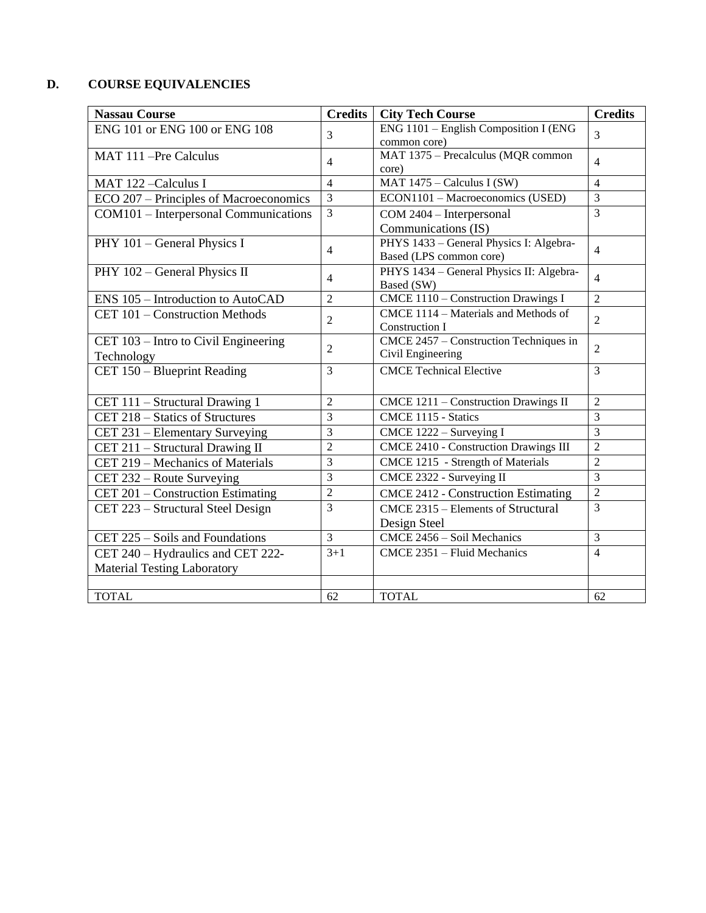# **D. COURSE EQUIVALENCIES**

| <b>Nassau Course</b>                   | <b>Credits</b> | <b>City Tech Course</b>                      | <b>Credits</b> |
|----------------------------------------|----------------|----------------------------------------------|----------------|
| ENG 101 or ENG 100 or ENG 108          | 3              | ENG 1101 - English Composition I (ENG)       | 3              |
|                                        |                | common core)                                 |                |
| MAT 111-Pre Calculus                   | $\overline{4}$ | MAT 1375 - Precalculus (MQR common           | $\overline{4}$ |
|                                        |                | core)                                        |                |
| MAT 122-Calculus I                     | 4              | MAT 1475 - Calculus I (SW)                   | $\overline{4}$ |
| ECO 207 – Principles of Macroeconomics | $\overline{3}$ | ECON1101 - Macroeconomics (USED)             | $\overline{3}$ |
| COM101 - Interpersonal Communications  | $\overline{3}$ | COM 2404 - Interpersonal                     | $\overline{3}$ |
|                                        |                | Communications (IS)                          |                |
| PHY 101 - General Physics I            | 4              | PHYS 1433 - General Physics I: Algebra-      | $\overline{4}$ |
|                                        |                | Based (LPS common core)                      |                |
| PHY 102 - General Physics II           | 4              | PHYS 1434 - General Physics II: Algebra-     | $\overline{4}$ |
|                                        |                | Based (SW)                                   |                |
| ENS 105 - Introduction to AutoCAD      | $\overline{2}$ | CMCE 1110 - Construction Drawings I          | $\overline{2}$ |
| CET 101 - Construction Methods         | $\overline{2}$ | CMCE 1114 - Materials and Methods of         | $\overline{2}$ |
|                                        |                | Construction I                               |                |
| CET 103 - Intro to Civil Engineering   | 2              | CMCE 2457 - Construction Techniques in       | $\overline{2}$ |
| Technology                             |                | Civil Engineering                            |                |
| CET 150 - Blueprint Reading            | 3              | <b>CMCE Technical Elective</b>               | $\overline{3}$ |
|                                        |                |                                              |                |
| CET 111 - Structural Drawing 1         | $\overline{2}$ | CMCE 1211 - Construction Drawings II         | $\overline{2}$ |
| CET 218 - Statics of Structures        | 3              | CMCE 1115 - Statics                          | $\overline{3}$ |
| CET 231 – Elementary Surveying         | 3              | CMCE 1222 - Surveying I                      | $\overline{3}$ |
| CET 211 - Structural Drawing II        | $\overline{2}$ | <b>CMCE 2410 - Construction Drawings III</b> | $\overline{2}$ |
| CET 219 - Mechanics of Materials       | 3              | CMCE 1215 - Strength of Materials            | $\overline{2}$ |
| CET 232 – Route Surveying              | 3              | CMCE 2322 - Surveying II                     | $\overline{3}$ |
| CET 201 – Construction Estimating      | $\overline{2}$ | <b>CMCE 2412 - Construction Estimating</b>   | $\overline{2}$ |
| CET 223 - Structural Steel Design      | 3              | CMCE 2315 - Elements of Structural           | 3              |
|                                        |                | Design Steel                                 |                |
| CET 225 – Soils and Foundations        | $\overline{3}$ | CMCE 2456 - Soil Mechanics                   | $\overline{3}$ |
| CET 240 - Hydraulics and CET 222-      | $3 + 1$        | CMCE 2351 - Fluid Mechanics                  | $\overline{4}$ |
| <b>Material Testing Laboratory</b>     |                |                                              |                |
|                                        |                |                                              |                |
| <b>TOTAL</b>                           | 62             | <b>TOTAL</b>                                 | 62             |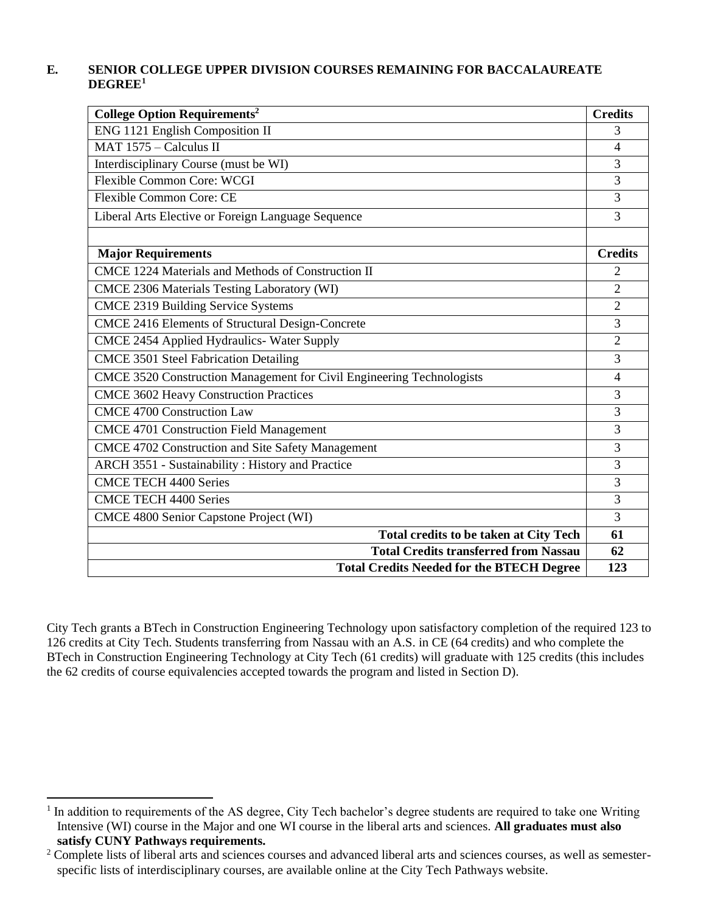## **E. SENIOR COLLEGE UPPER DIVISION COURSES REMAINING FOR BACCALAUREATE DEGREE<sup>1</sup>**

| <b>College Option Requirements<sup>2</sup></b>                        | <b>Credits</b> |
|-----------------------------------------------------------------------|----------------|
| ENG 1121 English Composition II                                       |                |
| MAT 1575 - Calculus II                                                |                |
| Interdisciplinary Course (must be WI)                                 |                |
| <b>Flexible Common Core: WCGI</b>                                     |                |
| <b>Flexible Common Core: CE</b>                                       |                |
| Liberal Arts Elective or Foreign Language Sequence                    |                |
|                                                                       |                |
| <b>Major Requirements</b>                                             | <b>Credits</b> |
| CMCE 1224 Materials and Methods of Construction II                    | 2              |
| CMCE 2306 Materials Testing Laboratory (WI)                           | $\overline{2}$ |
| <b>CMCE 2319 Building Service Systems</b>                             | $\overline{2}$ |
| CMCE 2416 Elements of Structural Design-Concrete                      |                |
| CMCE 2454 Applied Hydraulics- Water Supply                            | 2              |
| <b>CMCE 3501 Steel Fabrication Detailing</b>                          | 3              |
| CMCE 3520 Construction Management for Civil Engineering Technologists |                |
| <b>CMCE 3602 Heavy Construction Practices</b>                         |                |
| <b>CMCE 4700 Construction Law</b>                                     | 3              |
| <b>CMCE 4701 Construction Field Management</b>                        | 3              |
| CMCE 4702 Construction and Site Safety Management                     | 3              |
| ARCH 3551 - Sustainability: History and Practice                      | 3              |
| <b>CMCE TECH 4400 Series</b>                                          | 3              |
| <b>CMCE TECH 4400 Series</b>                                          |                |
| CMCE 4800 Senior Capstone Project (WI)                                |                |
| <b>Total credits to be taken at City Tech</b>                         | 61             |
| <b>Total Credits transferred from Nassau</b>                          | 62             |
| <b>Total Credits Needed for the BTECH Degree</b>                      | 123            |

City Tech grants a BTech in Construction Engineering Technology upon satisfactory completion of the required 123 to 126 credits at City Tech. Students transferring from Nassau with an A.S. in CE (64 credits) and who complete the BTech in Construction Engineering Technology at City Tech (61 credits) will graduate with 125 credits (this includes the 62 credits of course equivalencies accepted towards the program and listed in Section D).

<sup>&</sup>lt;sup>1</sup> In addition to requirements of the AS degree, City Tech bachelor's degree students are required to take one Writing Intensive (WI) course in the Major and one WI course in the liberal arts and sciences. **All graduates must also satisfy CUNY Pathways requirements.**

<sup>&</sup>lt;sup>2</sup> Complete lists of liberal arts and sciences courses and advanced liberal arts and sciences courses, as well as semesterspecific lists of interdisciplinary courses, are available online at the City Tech Pathways website.